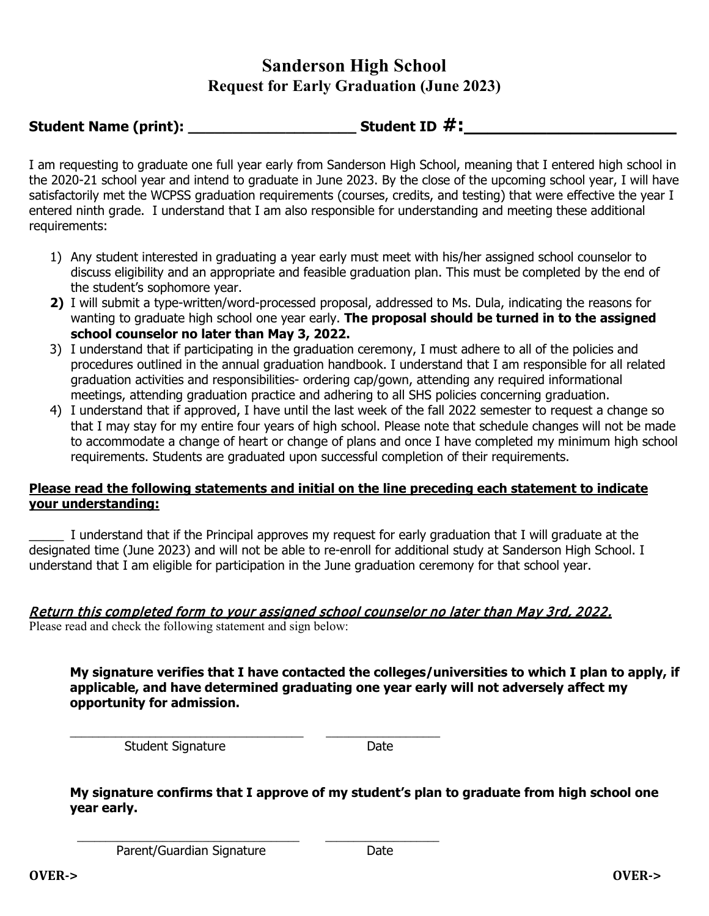## **Sanderson High School Request for Early Graduation (June 2023)**

**Student Name (print): \_\_\_\_\_\_\_\_\_\_\_\_\_\_\_\_\_\_\_ Student ID #:\_\_\_\_\_\_\_\_\_\_\_\_\_\_\_\_\_\_**

I am requesting to graduate one full year early from Sanderson High School, meaning that I entered high school in the 2020-21 school year and intend to graduate in June 2023. By the close of the upcoming school year, I will have satisfactorily met the WCPSS graduation requirements (courses, credits, and testing) that were effective the year I entered ninth grade. I understand that I am also responsible for understanding and meeting these additional requirements:

- 1) Any student interested in graduating a year early must meet with his/her assigned school counselor to discuss eligibility and an appropriate and feasible graduation plan. This must be completed by the end of the student's sophomore year.
- **2)** I will submit a type-written/word-processed proposal, addressed to Ms. Dula, indicating the reasons for wanting to graduate high school one year early. **The proposal should be turned in to the assigned school counselor no later than May 3, 2022.**
- 3) I understand that if participating in the graduation ceremony, I must adhere to all of the policies and procedures outlined in the annual graduation handbook. I understand that I am responsible for all related graduation activities and responsibilities- ordering cap/gown, attending any required informational meetings, attending graduation practice and adhering to all SHS policies concerning graduation.
- 4) I understand that if approved, I have until the last week of the fall 2022 semester to request a change so that I may stay for my entire four years of high school. Please note that schedule changes will not be made to accommodate a change of heart or change of plans and once I have completed my minimum high school requirements. Students are graduated upon successful completion of their requirements.

## **Please read the following statements and initial on the line preceding each statement to indicate your understanding:**

\_\_\_\_\_ I understand that if the Principal approves my request for early graduation that I will graduate at the designated time (June 2023) and will not be able to re-enroll for additional study at Sanderson High School. I understand that I am eligible for participation in the June graduation ceremony for that school year.

## Return this completed form to your assigned school counselor no later than May 3rd, 2022.

Please read and check the following statement and sign below:

**My signature verifies that I have contacted the colleges/universities to which I plan to apply, if applicable, and have determined graduating one year early will not adversely affect my opportunity for admission.** 

\_\_\_\_\_\_\_\_\_\_\_\_\_\_\_\_\_\_\_\_\_\_\_\_\_\_\_\_\_\_\_\_\_\_\_\_\_\_\_\_\_ \_\_\_\_\_\_\_\_\_\_\_\_\_\_\_\_\_\_\_\_ Student Signature Date

**My signature confirms that I approve of my student's plan to graduate from high school one year early.** 

 $\mathcal{L}_\text{max}$  , and the contract of the contract of the contract of the contract of the contract of the contract of the contract of the contract of the contract of the contract of the contract of the contract of the contr Parent/Guardian Signature Date